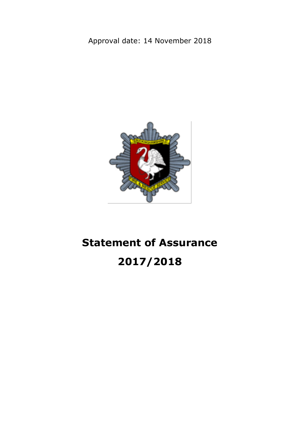# Approval date: 14 November 2018



# **Statement of Assurance 2017/2018**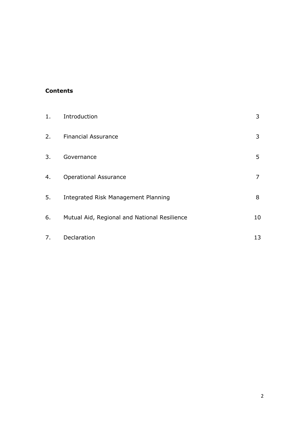#### **Contents**

| $1$ . | Introduction                                 | 3              |
|-------|----------------------------------------------|----------------|
| 2.    | <b>Financial Assurance</b>                   | 3              |
| 3.    | Governance                                   | 5              |
| 4.    | <b>Operational Assurance</b>                 | $\overline{7}$ |
| 5.    | Integrated Risk Management Planning          | 8              |
| 6.    | Mutual Aid, Regional and National Resilience | 10             |
| 7.    | Declaration                                  | 13             |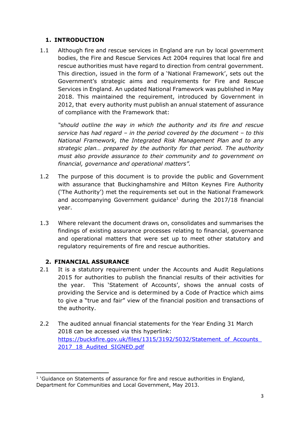# **1. INTRODUCTION**

1.1 Although fire and rescue services in England are run by local government bodies, the Fire and Rescue Services Act 2004 requires that local fire and rescue authorities must have regard to direction from central government. This direction, issued in the form of a 'National Framework', sets out the Government's strategic aims and requirements for Fire and Rescue Services in England. An updated National Framework was published in May 2018. This maintained the requirement, introduced by Government in 2012, that every authority must publish an annual statement of assurance of compliance with the Framework that:

*"should outline the way in which the authority and its fire and rescue service has had regard – in the period covered by the document – to this National Framework, the Integrated Risk Management Plan and to any strategic plan… prepared by the authority for that period. The authority must also provide assurance to their community and to government on financial, governance and operational matters".*

- 1.2 The purpose of this document is to provide the public and Government with assurance that Buckinghamshire and Milton Keynes Fire Authority ('The Authority') met the requirements set out in the National Framework and accompanying Government guidance<sup>1</sup> during the  $2017/18$  financial year.
- 1.3 Where relevant the document draws on, consolidates and summarises the findings of existing assurance processes relating to financial, governance and operational matters that were set up to meet other statutory and regulatory requirements of fire and rescue authorities.

#### **2. FINANCIAL ASSURANCE**

- 2.1 It is a statutory requirement under the Accounts and Audit Regulations 2015 for authorities to publish the financial results of their activities for the year. This 'Statement of Accounts', shows the annual costs of providing the Service and is determined by a Code of Practice which aims to give a "true and fair" view of the financial position and transactions of the authority.
- 2.2 The audited annual financial statements for the Year Ending 31 March 2018 can be accessed via this hyperlink: https://bucksfire.gov.uk/files/1315/3192/5032/Statement\_of\_Accounts 2017 18 Audited SIGNED.pdf

**<sup>.</sup>** <sup>1</sup> 'Guidance on Statements of assurance for fire and rescue authorities in England, Department for Communities and Local Government, May 2013.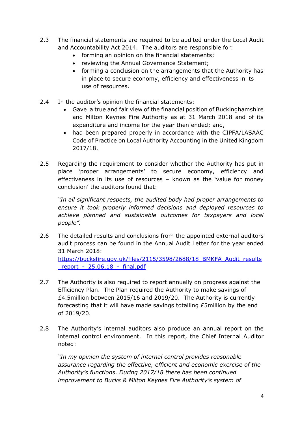- 2.3 The financial statements are required to be audited under the Local Audit and Accountability Act 2014. The auditors are responsible for:
	- forming an opinion on the financial statements;
	- reviewing the Annual Governance Statement;
	- forming a conclusion on the arrangements that the Authority has in place to secure economy, efficiency and effectiveness in its use of resources.
- 2.4 In the auditor's opinion the financial statements:
	- Gave a true and fair view of the financial position of Buckinghamshire and Milton Keynes Fire Authority as at 31 March 2018 and of its expenditure and income for the year then ended; and,
	- had been prepared properly in accordance with the CIPFA/LASAAC Code of Practice on Local Authority Accounting in the United Kingdom 2017/18.
- 2.5 Regarding the requirement to consider whether the Authority has put in place 'proper arrangements' to secure economy, efficiency and effectiveness in its use of resources – known as the 'value for money conclusion' the auditors found that:

*"In all significant respects, the audited body had proper arrangements to ensure it took properly informed decisions and deployed resources to achieve planned and sustainable outcomes for taxpayers and local people".*

- 2.6 The detailed results and conclusions from the appointed external auditors audit process can be found in the Annual Audit Letter for the year ended 31 March 2018: [https://bucksfire.gov.uk/files/2115/3598/2688/18\\_BMKFA\\_Audit\\_results](https://bucksfire.gov.uk/files/2115/3598/2688/18_BMKFA_Audit_results_report_-_25.06.18_-_final.pdf) report -  $25.06.18$  - final.pdf
- 2.7 The Authority is also required to report annually on progress against the Efficiency Plan. The Plan required the Authority to make savings of £4.5million between 2015/16 and 2019/20. The Authority is currently forecasting that it will have made savings totalling £5million by the end of 2019/20.
- 2.8 The Authority's internal auditors also produce an annual report on the internal control environment. In this report, the Chief Internal Auditor noted:

*"In my opinion the system of internal control provides reasonable assurance regarding the effective, efficient and economic exercise of the Authority's functions. During 2017/18 there has been continued improvement to Bucks & Milton Keynes Fire Authority's system of*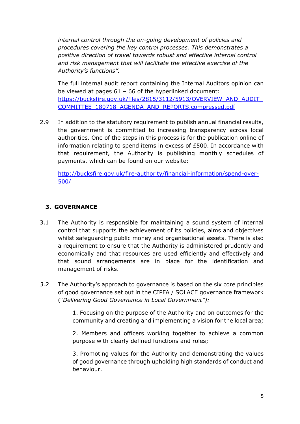*internal control through the on-going development of policies and procedures covering the key control processes. This demonstrates a positive direction of travel towards robust and effective internal control and risk management that will facilitate the effective exercise of the Authority's functions".*

The full internal audit report containing the Internal Auditors opinion can be viewed at pages  $61 - 66$  of the hyperlinked document: [https://bucksfire.gov.uk/files/2815/3112/5913/OVERVIEW\\_AND\\_AUDIT\\_](https://bucksfire.gov.uk/files/2815/3112/5913/OVERVIEW_AND_AUDIT_COMMITTEE_180718_AGENDA_AND_REPORTS.compressed.pdf) [COMMITTEE\\_180718\\_AGENDA\\_AND\\_REPORTS.compressed.pdf](https://bucksfire.gov.uk/files/2815/3112/5913/OVERVIEW_AND_AUDIT_COMMITTEE_180718_AGENDA_AND_REPORTS.compressed.pdf)

2.9 In addition to the statutory requirement to publish annual financial results, the government is committed to increasing transparency across local authorities. One of the steps in this process is for the publication online of information relating to spend items in excess of £500. In accordance with that requirement, the Authority is publishing monthly schedules of payments, which can be found on our website:

[http://bucksfire.gov.uk/fire-authority/financial-information/spend-over-](http://bucksfire.gov.uk/fire-authority/financial-information/spend-over-500/)[500/](http://bucksfire.gov.uk/fire-authority/financial-information/spend-over-500/)

# **3. GOVERNANCE**

- 3.1 The Authority is responsible for maintaining a sound system of internal control that supports the achievement of its policies, aims and objectives whilst safeguarding public money and organisational assets. There is also a requirement to ensure that the Authority is administered prudently and economically and that resources are used efficiently and effectively and that sound arrangements are in place for the identification and management of risks.
- *3.2* The Authority's approach to governance is based on the six core principles of good governance set out in the CIPFA / SOLACE governance framework ("*Delivering Good Governance in Local Government"):*

1. Focusing on the purpose of the Authority and on outcomes for the community and creating and implementing a vision for the local area;

2. Members and officers working together to achieve a common purpose with clearly defined functions and roles;

3. Promoting values for the Authority and demonstrating the values of good governance through upholding high standards of conduct and behaviour.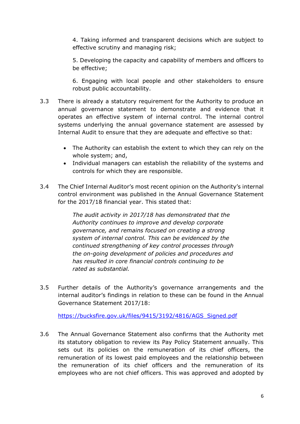4. Taking informed and transparent decisions which are subject to effective scrutiny and managing risk;

5. Developing the capacity and capability of members and officers to be effective;

6. Engaging with local people and other stakeholders to ensure robust public accountability.

- 3.3 There is already a statutory requirement for the Authority to produce an annual governance statement to demonstrate and evidence that it operates an effective system of internal control. The internal control systems underlying the annual governance statement are assessed by Internal Audit to ensure that they are adequate and effective so that:
	- The Authority can establish the extent to which they can rely on the whole system; and,
	- Individual managers can establish the reliability of the systems and controls for which they are responsible.
- 3.4 The Chief Internal Auditor's most recent opinion on the Authority's internal control environment was published in the Annual Governance Statement for the 2017/18 financial year. This stated that:

*The audit activity in 2017/18 has demonstrated that the Authority continues to improve and develop corporate governance, and remains focused on creating a strong system of internal control. This can be evidenced by the continued strengthening of key control processes through the on-going development of policies and procedures and has resulted in core financial controls continuing to be rated as substantial.*

3.5 Further details of the Authority's governance arrangements and the internal auditor's findings in relation to these can be found in the Annual Governance Statement 2017/18:

[https://bucksfire.gov.uk/files/9415/3192/4816/AGS\\_Signed.pdf](https://bucksfire.gov.uk/files/9415/3192/4816/AGS_Signed.pdf)

3.6 The Annual Governance Statement also confirms that the Authority met its statutory obligation to review its Pay Policy Statement annually. This sets out its policies on the remuneration of its chief officers, the remuneration of its lowest paid employees and the relationship between the remuneration of its chief officers and the remuneration of its employees who are not chief officers. This was approved and adopted by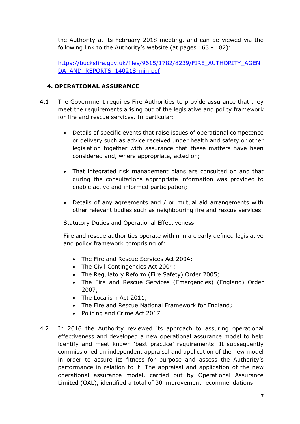the Authority at its February 2018 meeting, and can be viewed via the following link to the Authority's website (at pages 163 - 182):

[https://bucksfire.gov.uk/files/9615/1782/8239/FIRE\\_AUTHORITY\\_AGEN](https://bucksfire.gov.uk/files/9615/1782/8239/FIRE_AUTHORITY_AGENDA_AND_REPORTS_140218-min.pdf) [DA\\_AND\\_REPORTS\\_140218-min.pdf](https://bucksfire.gov.uk/files/9615/1782/8239/FIRE_AUTHORITY_AGENDA_AND_REPORTS_140218-min.pdf)

#### **4. OPERATIONAL ASSURANCE**

- 4.1 The Government requires Fire Authorities to provide assurance that they meet the requirements arising out of the legislative and policy framework for fire and rescue services. In particular:
	- Details of specific events that raise issues of operational competence or delivery such as advice received under health and safety or other legislation together with assurance that these matters have been considered and, where appropriate, acted on;
	- That integrated risk management plans are consulted on and that during the consultations appropriate information was provided to enable active and informed participation;
	- Details of any agreements and / or mutual aid arrangements with other relevant bodies such as neighbouring fire and rescue services.

#### Statutory Duties and Operational Effectiveness

Fire and rescue authorities operate within in a clearly defined legislative and policy framework comprising of:

- The Fire and Rescue Services Act 2004;
- The Civil Contingencies Act 2004;
- The Regulatory Reform (Fire Safety) Order 2005;
- The Fire and Rescue Services (Emergencies) (England) Order 2007;
- The Localism Act 2011;
- The Fire and Rescue National Framework for England;
- Policing and Crime Act 2017.
- 4.2 In 2016 the Authority reviewed its approach to assuring operational effectiveness and developed a new operational assurance model to help identify and meet known 'best practice' requirements. It subsequently commissioned an independent appraisal and application of the new model in order to assure its fitness for purpose and assess the Authority's performance in relation to it. The appraisal and application of the new operational assurance model, carried out by Operational Assurance Limited (OAL), identified a total of 30 improvement recommendations.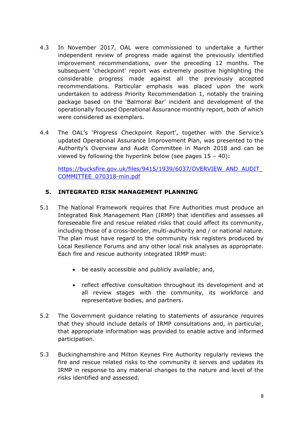- 4.3 In November 2017, OAL were commissioned to undertake a further independent review of progress made against the previously identified improvement recommendations, over the preceding 12 months. The subsequent 'checkpoint' report was extremely positive highlighting the considerable progress made against all the previously accepted recommendations. Particular emphasis was placed upon the work undertaken to address Priority Recommendation 1, notably the training package based on the 'Balmoral Bar' incident and development of the operationally focused Operational Assurance monthly report, both of which were considered as exemplars.
- 4.4 The OAL's 'Progress Checkpoint Report', together with the Service's updated Operational Assurance Improvement Plan, was presented to the Authority's Overview and Audit Committee in March 2018 and can be viewed by following the hyperlink below (see pages  $15 - 40$ ):

[https://bucksfire.gov.uk/files/9415/1939/6037/OVERVIEW\\_AND\\_AUDIT\\_](https://bucksfire.gov.uk/files/9415/1939/6037/OVERVIEW_AND_AUDIT_COMMITTEE_070318-min.pdf) [COMMITTEE\\_070318-min.pdf](https://bucksfire.gov.uk/files/9415/1939/6037/OVERVIEW_AND_AUDIT_COMMITTEE_070318-min.pdf)

#### **5. INTEGRATED RISK MANAGEMENT PLANNING**

- 5.1 The National Framework requires that Fire Authorities must produce an Integrated Risk Management Plan (IRMP) that identifies and assesses all foreseeable fire and rescue related risks that could affect its community, including those of a cross-border, multi-authority and / or national nature. The plan must have regard to the community risk registers produced by Local Resilience Forums and any other local risk analyses as appropriate. Each fire and rescue authority integrated IRMP must:
	- be easily accessible and publicly available; and,
	- reflect effective consultation throughout its development and at all review stages with the community, its workforce and representative bodies, and partners.
- 5.2 The Government guidance relating to statements of assurance requires that they should include details of IRMP consultations and, in particular, that appropriate information was provided to enable active and informed participation.
- 5.3 Buckinghamshire and Milton Keynes Fire Authority regularly reviews the fire and rescue related risks to the community it serves and updates its IRMP in response to any material changes to the nature and level of the risks identified and assessed.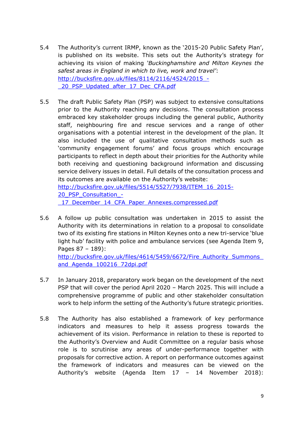- 5.4 The Authority's current IRMP, known as the '2015-20 Public Safety Plan', is published on its website. This sets out the Authority's strategy for achieving its vision of making *'Buckinghamshire and Milton Keynes the safest areas in England in which to live, work and travel'*: [http://bucksfire.gov.uk/files/8114/2116/4524/2015\\_-](http://bucksfire.gov.uk/files/8114/2116/4524/2015_-_20_PSP_Updated_after_17_Dec_CFA.pdf) 20\_PSP\_Updated\_after\_17\_Dec\_CFA.pdf
- 5.5 The draft Public Safety Plan (PSP) was subject to extensive consultations prior to the Authority reaching any decisions. The consultation process embraced key stakeholder groups including the general public, Authority staff, neighbouring fire and rescue services and a range of other organisations with a potential interest in the development of the plan. It also included the use of qualitative consultation methods such as 'community engagement forums' and focus groups which encourage participants to reflect in depth about their priorities for the Authority while both receiving and questioning background information and discussing service delivery issues in detail. Full details of the consultation process and its outcomes are available on the Authority's website: [http://bucksfire.gov.uk/files/5514/5527/7938/ITEM\\_16\\_2015-](http://bucksfire.gov.uk/files/5514/5527/7938/ITEM_16_2015-20_PSP_Consultation_-_17_December_14_CFA_Paper_Annexes.compressed.pdf) [20\\_PSP\\_Consultation\\_-](http://bucksfire.gov.uk/files/5514/5527/7938/ITEM_16_2015-20_PSP_Consultation_-_17_December_14_CFA_Paper_Annexes.compressed.pdf)

17 December 14 CFA Paper Annexes.compressed.pdf

5.6 A follow up public consultation was undertaken in 2015 to assist the Authority with its determinations in relation to a proposal to consolidate two of its existing fire stations in Milton Keynes onto a new tri-service 'blue light hub' facility with police and ambulance services (see Agenda Item 9, Pages 87 – 189): http://bucksfire.gov.uk/files/4614/5459/6672/Fire\_Authority\_Summons

and Agenda 100216 72dpi.pdf

- 5.7 In January 2018, preparatory work began on the development of the next PSP that will cover the period April 2020 – March 2025. This will include a comprehensive programme of public and other stakeholder consultation work to help inform the setting of the Authority's future strategic priorities.
- 5.8 The Authority has also established a framework of key performance indicators and measures to help it assess progress towards the achievement of its vision. Performance in relation to these is reported to the Authority's Overview and Audit Committee on a regular basis whose role is to scrutinise any areas of under-performance together with proposals for corrective action. A report on performance outcomes against the framework of indicators and measures can be viewed on the Authority's website (Agenda Item 17 – 14 November 2018):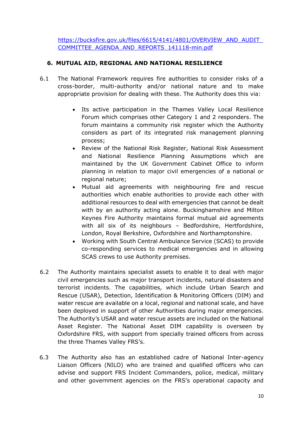https://bucksfire.gov.uk/files/6615/4141/4801/OVERVIEW\_AND\_AUDIT\_ COMMITTEE\_AGENDA\_AND\_REPORTS\_141118-min.pdf

### **6. MUTUAL AID, REGIONAL AND NATIONAL RESILIENCE**

- 6.1 The National Framework requires fire authorities to consider risks of a cross-border, multi-authority and/or national nature and to make appropriate provision for dealing with these. The Authority does this via:
	- Its active participation in the Thames Valley Local Resilience Forum which comprises other Category 1 and 2 responders. The forum maintains a community risk register which the Authority considers as part of its integrated risk management planning process;
	- Review of the National Risk Register, National Risk Assessment and National Resilience Planning Assumptions which are maintained by the UK Government Cabinet Office to inform planning in relation to major civil emergencies of a national or regional nature;
	- Mutual aid agreements with neighbouring fire and rescue authorities which enable authorities to provide each other with additional resources to deal with emergencies that cannot be dealt with by an authority acting alone. Buckinghamshire and Milton Keynes Fire Authority maintains formal mutual aid agreements with all six of its neighbours – Bedfordshire, Hertfordshire, London, Royal Berkshire, Oxfordshire and Northamptonshire.
	- Working with South Central Ambulance Service (SCAS) to provide co-responding services to medical emergencies and in allowing SCAS crews to use Authority premises.
- 6.2 The Authority maintains specialist assets to enable it to deal with major civil emergencies such as major transport incidents, natural disasters and terrorist incidents. The capabilities, which include Urban Search and Rescue (USAR), Detection, Identification & Monitoring Officers (DIM) and water rescue are available on a local, regional and national scale, and have been deployed in support of other Authorities during major emergencies. The Authority's USAR and water rescue assets are included on the National Asset Register. The National Asset DIM capability is overseen by Oxfordshire FRS, with support from specially trained officers from across the three Thames Valley FRS's.
- 6.3 The Authority also has an established cadre of National Inter-agency Liaison Officers (NILO) who are trained and qualified officers who can advise and support FRS Incident Commanders, police, medical, military and other government agencies on the FRS's operational capacity and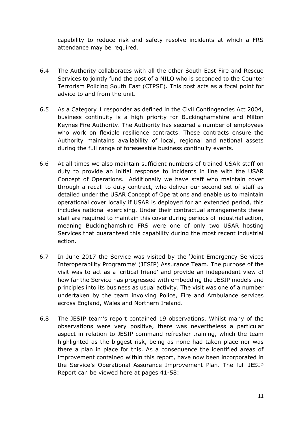capability to reduce risk and safety resolve incidents at which a FRS attendance may be required.

- 6.4 The Authority collaborates with all the other South East Fire and Rescue Services to jointly fund the post of a NILO who is seconded to the Counter Terrorism Policing South East (CTPSE). This post acts as a focal point for advice to and from the unit.
- 6.5 As a Category 1 responder as defined in the Civil Contingencies Act 2004, business continuity is a high priority for Buckinghamshire and Milton Keynes Fire Authority. The Authority has secured a number of employees who work on flexible resilience contracts. These contracts ensure the Authority maintains availability of local, regional and national assets during the full range of foreseeable business continuity events.
- 6.6 At all times we also maintain sufficient numbers of trained USAR staff on duty to provide an initial response to incidents in line with the USAR Concept of Operations. Additionally we have staff who maintain cover through a recall to duty contract, who deliver our second set of staff as detailed under the USAR Concept of Operations and enable us to maintain operational cover locally if USAR is deployed for an extended period, this includes national exercising. Under their contractual arrangements these staff are required to maintain this cover during periods of industrial action, meaning Buckinghamshire FRS were one of only two USAR hosting Services that guaranteed this capability during the most recent industrial action.
- 6.7 In June 2017 the Service was visited by the 'Joint Emergency Services Interoperability Programme' (JESIP) Assurance Team. The purpose of the visit was to act as a 'critical friend' and provide an independent view of how far the Service has progressed with embedding the JESIP models and principles into its business as usual activity. The visit was one of a number undertaken by the team involving Police, Fire and Ambulance services across England, Wales and Northern Ireland.
- 6.8 The JESIP team's report contained 19 observations. Whilst many of the observations were very positive, there was nevertheless a particular aspect in relation to JESIP command refresher training, which the team highlighted as the biggest risk, being as none had taken place nor was there a plan in place for this. As a consequence the identified areas of improvement contained within this report, have now been incorporated in the Service's Operational Assurance Improvement Plan. The full JESIP Report can be viewed here at pages 41-58: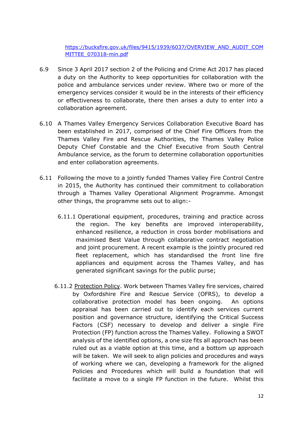[https://bucksfire.gov.uk/files/9415/1939/6037/OVERVIEW\\_AND\\_AUDIT\\_COM](https://bucksfire.gov.uk/files/9415/1939/6037/OVERVIEW_AND_AUDIT_COMMITTEE_070318-min.pdf) [MITTEE\\_070318-min.pdf](https://bucksfire.gov.uk/files/9415/1939/6037/OVERVIEW_AND_AUDIT_COMMITTEE_070318-min.pdf)

- 6.9 Since 3 April 2017 section 2 of the Policing and Crime Act 2017 has placed a duty on the Authority to keep opportunities for collaboration with the police and ambulance services under review. Where two or more of the emergency services consider it would be in the interests of their efficiency or effectiveness to collaborate, there then arises a duty to enter into a collaboration agreement.
- 6.10 A Thames Valley Emergency Services Collaboration Executive Board has been established in 2017, comprised of the Chief Fire Officers from the Thames Valley Fire and Rescue Authorities, the Thames Valley Police Deputy Chief Constable and the Chief Executive from South Central Ambulance service, as the forum to determine collaboration opportunities and enter collaboration agreements.
- 6.11 Following the move to a jointly funded Thames Valley Fire Control Centre in 2015, the Authority has continued their commitment to collaboration through a Thames Valley Operational Alignment Programme. Amongst other things, the programme sets out to align:-
	- 6.11.1 Operational equipment, procedures, training and practice across the region. The key benefits are improved interoperability, enhanced resilience, a reduction in cross border mobilisations and maximised Best Value through collaborative contract negotiation and joint procurement. A recent example is the jointly procured red fleet replacement, which has standardised the front line fire appliances and equipment across the Thames Valley, and has generated significant savings for the public purse;
	- 6.11.2 Protection Policy. Work between Thames Valley fire services, chaired by Oxfordshire Fire and Rescue Service (OFRS), to develop a collaborative protection model has been ongoing. An options appraisal has been carried out to identify each services current position and governance structure, identifying the Critical Success Factors (CSF) necessary to develop and deliver a single Fire Protection (FP) function across the Thames Valley. Following a SWOT analysis of the identified options, a one size fits all approach has been ruled out as a viable option at this time, and a bottom up approach will be taken. We will seek to align policies and procedures and ways of working where we can, developing a framework for the aligned Policies and Procedures which will build a foundation that will facilitate a move to a single FP function in the future. Whilst this